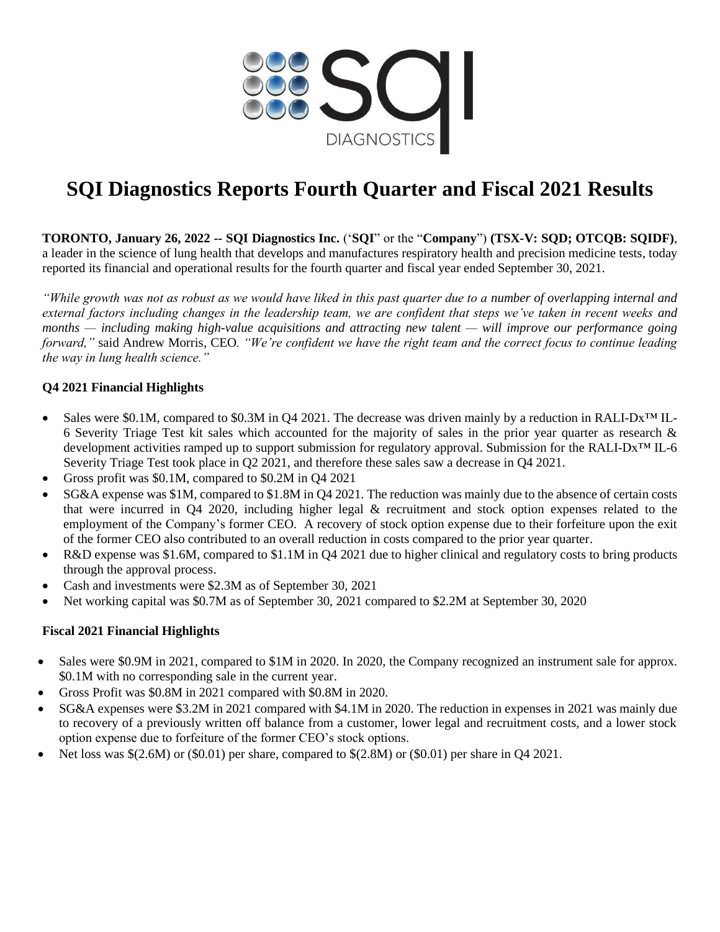

# **SQI Diagnostics Reports Fourth Quarter and Fiscal 2021 Results**

**TORONTO, January 26, 2022 -- SQI Diagnostics Inc.** ('**SQI**" or the "**Company**") **(TSX-V: SQD; OTCQB: SQIDF)**, a leader in the science of lung health that develops and manufactures respiratory health and precision medicine tests, today reported its financial and operational results for the fourth quarter and fiscal year ended September 30, 2021.

*"While growth was not as robust as we would have liked in this past quarter due to a number of overlapping internal and external factors including changes in the leadership team, we are confident that steps we've taken in recent weeks and months — including making high-value acquisitions and attracting new talent — will improve our performance going forward,"* said Andrew Morris, CEO*. "We're confident we have the right team and the correct focus to continue leading the way in lung health science."* 

## **Q4 2021 Financial Highlights**

- Sales were \$0.1M, compared to \$0.3M in Q4 2021. The decrease was driven mainly by a reduction in RALI-Dx<sup>™</sup> IL-6 Severity Triage Test kit sales which accounted for the majority of sales in the prior year quarter as research & development activities ramped up to support submission for regulatory approval. Submission for the RALI-Dx™ IL-6 Severity Triage Test took place in Q2 2021, and therefore these sales saw a decrease in Q4 2021.
- Gross profit was \$0.1M, compared to \$0.2M in Q4 2021
- SG&A expense was \$1M, compared to \$1.8M in Q4 2021. The reduction was mainly due to the absence of certain costs that were incurred in Q4 2020, including higher legal & recruitment and stock option expenses related to the employment of the Company's former CEO. A recovery of stock option expense due to their forfeiture upon the exit of the former CEO also contributed to an overall reduction in costs compared to the prior year quarter.
- R&D expense was \$1.6M, compared to \$1.1M in Q4 2021 due to higher clinical and regulatory costs to bring products through the approval process.
- Cash and investments were \$2.3M as of September 30, 2021
- Net working capital was \$0.7M as of September 30, 2021 compared to \$2.2M at September 30, 2020

#### **Fiscal 2021 Financial Highlights**

- Sales were \$0.9M in 2021, compared to \$1M in 2020. In 2020, the Company recognized an instrument sale for approx. \$0.1M with no corresponding sale in the current year.
- Gross Profit was \$0.8M in 2021 compared with \$0.8M in 2020.
- SG&A expenses were \$3.2M in 2021 compared with \$4.1M in 2020. The reduction in expenses in 2021 was mainly due to recovery of a previously written off balance from a customer, lower legal and recruitment costs, and a lower stock option expense due to forfeiture of the former CEO's stock options.
- Net loss was  $\S(2.6M)$  or  $(\$0.01)$  per share, compared to  $\S(2.8M)$  or  $(\$0.01)$  per share in Q4 2021.